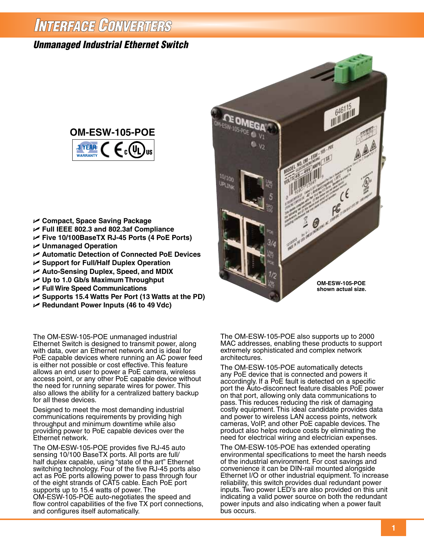# INTERFAGE CONVERTERS

# *Unmanaged Industrial Ethernet Switch*



- U **Compact, Space Saving Package**
- U **Full IEEE 802.3 and 802.3af Compliance**
- U **Five 10/100BaseTX RJ-45 Ports (4 PoE Ports)**
- U **Unmanaged Operation**
- U **Automatic Detection of Connected PoE Devices**
- U **Support for Full/Half Duplex Operation**
- U **Auto-Sensing Duplex, Speed, and MDIX**
- U **Up to 1.0 Gb/s Maximum Throughput**
- U **Full Wire Speed Communications**
- U **Supports 15.4 Watts Per Port (13 Watts at the PD)**
- U **Redundant Power Inputs (46 to 49 Vdc)**

The OM-ESW-105-POE unmanaged industrial Ethernet Switch is designed to transmit power, along with data, over an Ethernet network and is ideal for PoE capable devices where running an AC power feed is either not possible or cost effective. This feature allows an end user to power a PoE camera, wireless access point, or any other PoE capable device without the need for running separate wires for power. This also allows the ability for a centralized battery backup for all these devices.

Designed to meet the most demanding industrial communications requirements by providing high throughput and minimum downtime while also providing power to PoE capable devices over the Ethernet network.

The OM-ESW-105-POE provides five RJ-45 auto sensing 10/100 BaseTX ports. All ports are full/ half duplex capable, using "state of the art" Ethernet switching technology. Four of the five RJ-45 ports also act as PoE ports allowing power to pass through four of the eight strands of CAT5 cable. Each PoE port supports up to 15.4 watts of power. The OM-ESW-105-POE auto-negotiates the speed and flow control capabilities of the five TX port connections, and configures itself automatically.



The OM-ESW-105-POE also supports up to 2000 MAC addresses, enabling these products to support extremely sophisticated and complex network architectures.

The OM-ESW-105-POE automatically detects any PoE device that is connected and powers it accordingly. If a PoE fault is detected on a specific port the Auto-disconnect feature disables PoE power on that port, allowing only data communications to pass. This reduces reducing the risk of damaging costly equipment. This ideal candidate provides data and power to wireless LAN access points, network cameras, VoIP, and other PoE capable devices. The product also helps reduce costs by eliminating the need for electrical wiring and electrician expenses.

The OM-ESW-105-POE has extended operating environmental specifications to meet the harsh needs of the industrial environment. For cost savings and convenience it can be DIN-rail mounted alongside Ethernet I/O or other industrial equipment. To increase reliability, this switch provides dual redundant power inputs. Two power LED's are also provided on this unit indicating a valid power source on both the redundant power inputs and also indicating when a power fault bus occurs.